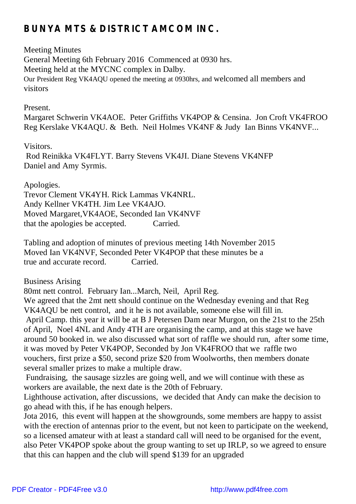# **BUNYA MTS & DISTRICT AMCOM INC.**

## Meeting Minutes

General Meeting 6th February 2016 Commenced at 0930 hrs. Meeting held at the MYCNC complex in Dalby. Our President Reg VK4AQU opened the meeting at 0930hrs, and welcomed all members and visitors

#### Present.

Margaret Schwerin VK4AOE. Peter Griffiths VK4POP & Censina. Jon Croft VK4FROO Reg Kerslake VK4AQU. & Beth. Neil Holmes VK4NF & Judy Ian Binns VK4NVF...

### Visitors.

Rod Reinikka VK4FLYT. Barry Stevens VK4JI. Diane Stevens VK4NFP Daniel and Amy Syrmis.

## Apologies.

Trevor Clement VK4YH. Rick Lammas VK4NRL. Andy Kellner VK4TH. Jim Lee VK4AJO. Moved Margaret,VK4AOE, Seconded Ian VK4NVF that the apologies be accepted. Carried.

Tabling and adoption of minutes of previous meeting 14th November 2015 Moved Ian VK4NVF, Seconded Peter VK4POP that these minutes be a true and accurate record. Carried.

Business Arising

80mt nett control. February Ian...March, Neil, April Reg.

We agreed that the 2mt nett should continue on the Wednesday evening and that Reg VK4AQU be nett control, and it he is not available, someone else will fill in. April Camp. this year it will be at B J Petersen Dam near Murgon, on the 21st to the 25th of April, Noel 4NL and Andy 4TH are organising the camp, and at this stage we have around 50 booked in. we also discussed what sort of raffle we should run, after some time, it was moved by Peter VK4POP, Seconded by Jon VK4FROO that we raffle two vouchers, first prize a \$50, second prize \$20 from Woolworths, then members donate several smaller prizes to make a multiple draw.

Fundraising, the sausage sizzles are going well, and we will continue with these as workers are available, the next date is the 20th of February.

Lighthouse activation, after discussions, we decided that Andy can make the decision to go ahead with this, if he has enough helpers.

Jota 2016, this event will happen at the showgrounds, some members are happy to assist with the erection of antennas prior to the event, but not keen to participate on the weekend, so a licensed amateur with at least a standard call will need to be organised for the event, also Peter VK4POP spoke about the group wanting to set up IRLP, so we agreed to ensure that this can happen and the club will spend \$139 for an upgraded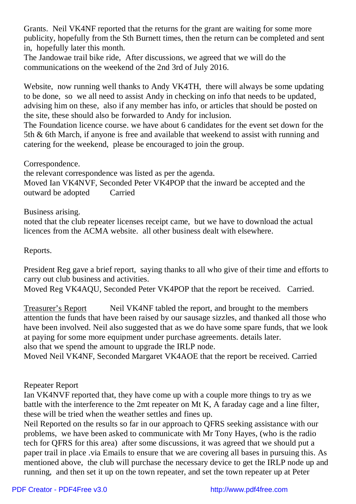Grants. Neil VK4NF reported that the returns for the grant are waiting for some more publicity, hopefully from the Sth Burnett times, then the return can be completed and sent in, hopefully later this month.

The Jandowae trail bike ride, After discussions, we agreed that we will do the communications on the weekend of the 2nd 3rd of July 2016.

Website, now running well thanks to Andy VK4TH, there will always be some updating to be done, so we all need to assist Andy in checking on info that needs to be updated, advising him on these, also if any member has info, or articles that should be posted on the site, these should also be forwarded to Andy for inclusion.

The Foundation licence course. we have about 6 candidates for the event set down for the 5th & 6th March, if anyone is free and available that weekend to assist with running and catering for the weekend, please be encouraged to join the group.

Correspondence.

the relevant correspondence was listed as per the agenda. Moved Ian VK4NVF, Seconded Peter VK4POP that the inward be accepted and the outward be adopted Carried

Business arising.

noted that the club repeater licenses receipt came, but we have to download the actual licences from the ACMA website. all other business dealt with elsewhere.

Reports.

President Reg gave a brief report, saying thanks to all who give of their time and efforts to carry out club business and activities.

Moved Reg VK4AQU, Seconded Peter VK4POP that the report be received. Carried.

Treasurer's Report Neil VK4NF tabled the report, and brought to the members attention the funds that have been raised by our sausage sizzles, and thanked all those who have been involved. Neil also suggested that as we do have some spare funds, that we look at paying for some more equipment under purchase agreements. details later. also that we spend the amount to upgrade the IRLP node.

Moved Neil VK4NF, Seconded Margaret VK4AOE that the report be received. Carried

Repeater Report

Ian VK4NVF reported that, they have come up with a couple more things to try as we battle with the interference to the 2mt repeater on Mt K, A faraday cage and a line filter, these will be tried when the weather settles and fines up.

Neil Reported on the results so far in our approach to QFRS seeking assistance with our problems, we have been asked to communicate with Mr Tony Hayes, (who is the radio tech for QFRS for this area) after some discussions, it was agreed that we should put a paper trail in place .via Emails to ensure that we are covering all bases in pursuing this. As mentioned above, the club will purchase the necessary device to get the IRLP node up and running, and then set it up on the town repeater, and set the town repeater up at Peter